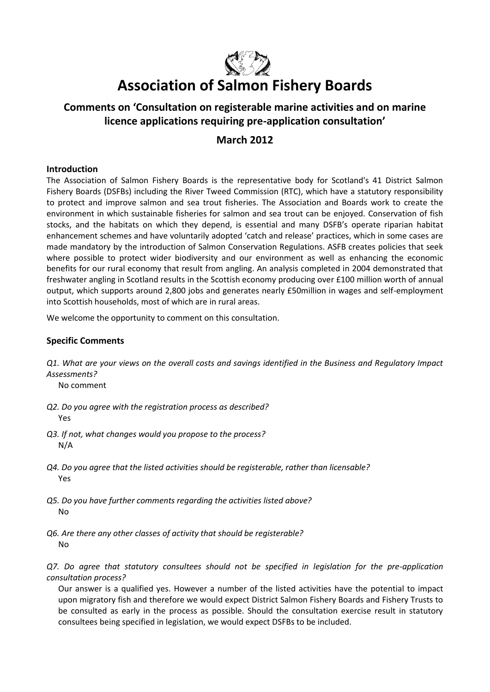

# **Association of Salmon Fishery Boards**

## **Comments on 'Consultation on registerable marine activities and on marine licence applications requiring pre-application consultation'**

### **March 2012**

#### **Introduction**

The Association of Salmon Fishery Boards is the representative body for Scotland's 41 District Salmon Fishery Boards (DSFBs) including the River Tweed Commission (RTC), which have a statutory responsibility to protect and improve salmon and sea trout fisheries. The Association and Boards work to create the environment in which sustainable fisheries for salmon and sea trout can be enjoyed. Conservation of fish stocks, and the habitats on which they depend, is essential and many DSFB's operate riparian habitat enhancement schemes and have voluntarily adopted 'catch and release' practices, which in some cases are made mandatory by the introduction of Salmon Conservation Regulations. ASFB creates policies that seek where possible to protect wider biodiversity and our environment as well as enhancing the economic benefits for our rural economy that result from angling. An analysis completed in 2004 demonstrated that freshwater angling in Scotland results in the Scottish economy producing over £100 million worth of annual output, which supports around 2,800 jobs and generates nearly £50million in wages and self-employment into Scottish households, most of which are in rural areas.

We welcome the opportunity to comment on this consultation.

#### **Specific Comments**

*Q1. What are your views on the overall costs and savings identified in the Business and Regulatory Impact Assessments?*

No comment

- *Q2. Do you agree with the registration process as described?* Yes
- *Q3. If not, what changes would you propose to the process?* N/A
- *Q4. Do you agree that the listed activities should be registerable, rather than licensable?* Yes
- *Q5. Do you have further comments regarding the activities listed above?* No
- *Q6. Are there any other classes of activity that should be registerable?* No

*Q7. Do agree that statutory consultees should not be specified in legislation for the pre-application consultation process?*

Our answer is a qualified yes. However a number of the listed activities have the potential to impact upon migratory fish and therefore we would expect District Salmon Fishery Boards and Fishery Trusts to be consulted as early in the process as possible. Should the consultation exercise result in statutory consultees being specified in legislation, we would expect DSFBs to be included.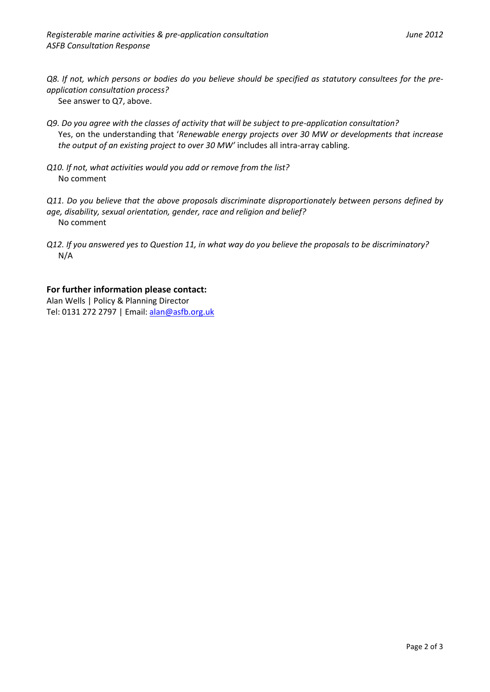*Q8. If not, which persons or bodies do you believe should be specified as statutory consultees for the preapplication consultation process?*

See answer to Q7, above.

- *Q9. Do you agree with the classes of activity that will be subject to pre-application consultation?* Yes, on the understanding that '*Renewable energy projects over 30 MW or developments that increase the output of an existing project to over 30 MW'* includes all intra-array cabling.
- *Q10. If not, what activities would you add or remove from the list?* No comment
- *Q11. Do you believe that the above proposals discriminate disproportionately between persons defined by age, disability, sexual orientation, gender, race and religion and belief?* No comment
- *Q12. If you answered yes to Question 11, in what way do you believe the proposals to be discriminatory?* N/A

#### **For further information please contact:**

Alan Wells | Policy & Planning Director Tel: 0131 272 2797 | Email[: alan@asfb.org.uk](mailto:alan@asfb.org.uk)